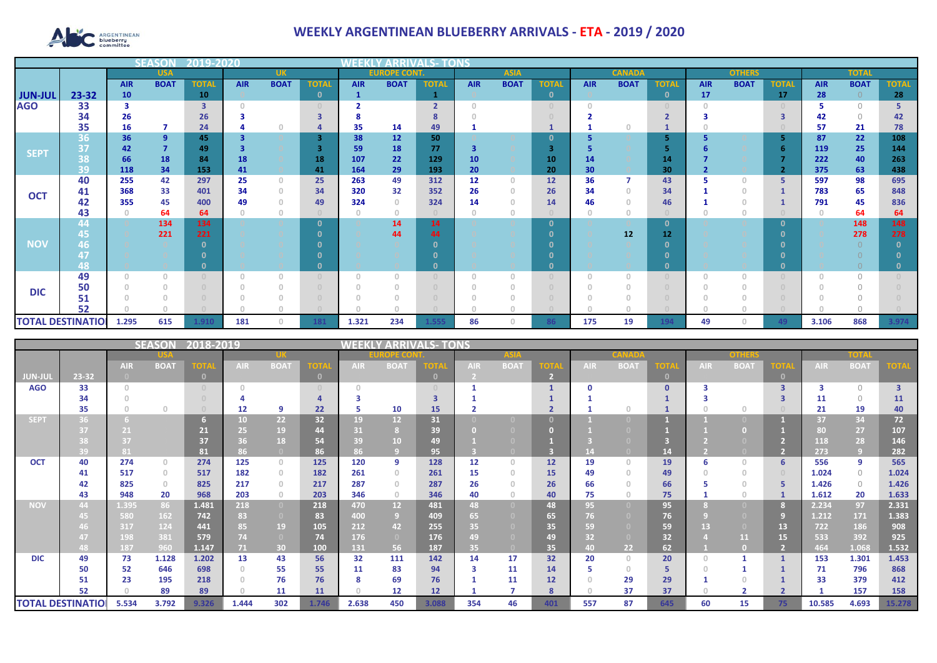

## **WEEKLY ARGENTINEAN BLUEBERRY ARRIVALS - ETA - 2019 / 2020**

|                          |           |            |                | 12019-20     |            |             |              |              |                     |                        |                 |             |              |            |               |                 |            |               |              |            |              |              |
|--------------------------|-----------|------------|----------------|--------------|------------|-------------|--------------|--------------|---------------------|------------------------|-----------------|-------------|--------------|------------|---------------|-----------------|------------|---------------|--------------|------------|--------------|--------------|
|                          |           |            | <b>USA</b>     |              |            | <b>UK</b>   |              |              | <b>EUROPE CONT.</b> |                        |                 | <b>ASIA</b> |              |            | <b>CANADA</b> |                 |            | <b>OTHERS</b> |              |            | <b>TOTAI</b> |              |
|                          |           | <b>AIR</b> | <b>BOAT</b>    | <b>TOTAL</b> | <b>AIR</b> | <b>BOAT</b> | <b>TOTA</b>  | <b>AIR</b>   | <b>BOAT</b>         | <b>TOTAL</b>           | <b>AIR</b>      | <b>BOAT</b> | <b>TOTAL</b> | <b>AIR</b> | <b>BOAT</b>   | <b>TOTAL</b>    | <b>AIR</b> | <b>BOAT</b>   | <b>TOTAL</b> | <b>AIR</b> | <b>BOAT</b>  | <b>TOTAL</b> |
| <b>JUN-JUL</b>           | $23 - 32$ | 10         |                | 10           |            |             | $\mathbf{0}$ | $\mathbf{1}$ |                     |                        |                 |             | $\mathbf{0}$ |            |               | $\mathbf{0}$    | 17         |               | 17           | 28         | $\Omega$     | 28           |
| <b>AGO</b>               | 33        | 3          |                | 3            |            |             |              |              |                     | $\mathbf{\mathcal{L}}$ |                 |             | $\cup$       |            |               |                 |            |               |              |            | $\bigcap$    |              |
|                          | 34        | 26         |                | 26           |            |             |              |              |                     |                        |                 |             |              |            |               | $\overline{2}$  |            |               |              | 42         | $\bigcap$    | 42.          |
|                          | 35        | 16         | 7              | 24           |            |             |              | 35           | 14                  | 49                     |                 |             |              |            |               |                 |            |               |              | 57         | 21           | 78           |
| <b>SEPT</b>              | 36        | 36         | $\overline{9}$ | 45           |            |             | 3            | 38           | 12                  | 50                     |                 |             | 0            |            |               | 5               |            |               |              | 87         | 22           | 108          |
|                          | 37        | 42         | $\overline{7}$ | 49           |            |             |              | 59           | 18                  | 77                     | 3               |             | З            |            |               |                 |            |               |              | 119        | 25           | 144          |
|                          | 38        | 66         | 18             | 84           | 18         |             | 18           | 107          | 22                  | 129                    | 10 <sub>1</sub> |             | 10           | 14         |               | 14              |            |               |              | 222        | 40           | 263          |
|                          | 39        | 118        | 34             | 153          | 41         |             | 41           | 164          | 29                  | 193                    | 20              |             | 20           | 30         |               | 30              |            |               |              | 375        | 63           | 438          |
|                          | 40        | 255        | 42             | 297          | 25         | $\Omega$    | 25           | 263          | 49                  | 312                    | 12              | $\Omega$    | 12           | 36         |               | 43              |            | O             | -5           | 597        | 98           | 695          |
| <b>OCT</b>               | 41        | 368        | 33             | 401          | 34         | $\circ$     | 34           | 320          | 32                  | 352                    | 26              | n           | 26           | 34         |               | 34              |            |               |              | 783        | 65           | 848          |
|                          | 42        | 355        | 45             | 400          | 49         | $\Omega$    | 49           | 324          | $\Omega$            | 324                    | 14              |             | 14           | 46         |               | 46              |            |               |              | 791        | 45           | 836          |
|                          | 43        |            | 64<br>134      | 64           |            | $\theta$    | $\Omega$     | $\circ$      | $\circ$             |                        | $\Omega$        |             |              |            |               | $\mathbf{0}$    |            | 0             |              |            | 64           | 64           |
|                          | 44        |            |                | 134<br>221   |            |             |              |              | 14                  | 14<br>44               |                 |             | 0<br>n       |            | 12            | 12 <sup>7</sup> |            |               | - 0          |            | 148          | 148          |
| <b>NOV</b>               | 45<br>46  |            | 221            |              |            |             |              |              | 44                  |                        |                 |             |              |            |               |                 |            |               |              |            | 278          | 278          |
|                          |           |            |                |              |            |             |              |              |                     |                        |                 |             |              |            |               |                 |            |               |              |            |              |              |
|                          | 48        |            |                |              |            |             |              |              |                     |                        |                 |             |              |            |               | 0               |            |               |              |            |              |              |
|                          | 49        |            | $\Omega$       |              |            | $\Omega$    |              | $\Omega$     |                     |                        | O               |             |              |            |               |                 |            |               |              |            |              |              |
|                          | 50        |            |                |              |            |             |              |              |                     |                        |                 |             |              |            |               |                 |            |               |              |            |              |              |
| <b>DIC</b>               | 51        |            |                |              |            |             |              |              |                     |                        |                 |             |              |            |               |                 |            |               |              |            |              |              |
|                          | 52        |            |                |              |            |             |              |              |                     |                        |                 |             |              |            |               |                 |            |               |              |            |              |              |
| <b>TOTAL DESTINATIOI</b> |           | 1.295      | 615            | 1.910        | 181        | $\bigcap$   | 181          | 1.321        | 234                 | l.555                  | 86              | n.          | 86           | 175        | 19            | 194             | 49         | O             | 49           | 3.106      | 868          | 3.974        |

|             |                          |            | <b>SEASON</b> | 2018-2019   |                 |                                  |          |            |                 | LS- TONS     |            |                   |                        |            |             |              |            |             |                         |            |             |                |
|-------------|--------------------------|------------|---------------|-------------|-----------------|----------------------------------|----------|------------|-----------------|--------------|------------|-------------------|------------------------|------------|-------------|--------------|------------|-------------|-------------------------|------------|-------------|----------------|
|             |                          |            |               |             |                 |                                  |          |            | ECO             |              |            |                   |                        |            |             |              |            |             |                         |            |             |                |
|             |                          | <b>AIR</b> | <b>BOAT</b>   | <b>TOTA</b> | <b>AIR</b>      | <b>BOAT</b>                      | ОТ       | <b>AIR</b> | <b>BOAT</b>     | OTA          | <b>AIR</b> | <b>BOAT</b>       | $\overline{\text{or}}$ | <b>AIR</b> | <b>BOAT</b> | <b>OTA</b>   | <b>AIR</b> | <b>BOAT</b> | <b>TOTAL</b>            | <b>AIR</b> | <b>BOAT</b> | <b>TOTA</b>    |
| JUN-JUI     | 23-32                    |            |               |             |                 |                                  | $\Omega$ |            |                 | $\mathbf{0}$ |            |                   |                        |            |             | $\mathbf{0}$ |            |             |                         |            |             |                |
| <b>AGO</b>  | 33                       |            |               |             |                 |                                  |          | $\cap$     |                 |              |            |                   |                        |            |             | $\mathbf{0}$ |            |             | $\overline{\mathbf{3}}$ |            | $\Omega$    | $\overline{3}$ |
|             | 34                       |            |               |             |                 |                                  |          |            |                 |              |            |                   |                        |            |             |              |            |             |                         | 11         | $\Omega$    | 11             |
|             | 35                       |            | $\Omega$      |             | 12              | q                                | 22       | 5          | 10              | 15           |            |                   |                        |            |             |              |            | $\cap$      |                         | 21         | 19          | 40             |
| <b>SEPT</b> | 36.                      |            |               |             | 10 <sub>1</sub> | 22 <sub>2</sub>                  | 32       | 19         | 12              | 31           |            |                   |                        |            |             |              |            |             |                         | 37         | 34          | 72             |
|             |                          | 21         |               | 21          | 25              | 19                               | 44       | 31         |                 | 39           |            |                   |                        |            |             |              |            |             |                         | 80         | 27          | 107            |
|             |                          | 37         |               | 37          | 36              | 18                               | 54       | 39         | 10              | 49           |            |                   |                        |            |             |              |            |             |                         | 118        | 28          | 146            |
|             | 39                       | 81         |               | 81          | 86              |                                  | 86       | 86         |                 | 95           |            |                   |                        |            |             | 14           |            |             |                         | 273        | $\sqrt{9}$  | 282            |
| <b>OCT</b>  | 40                       | 274        | $\circ$       | 274         | 125             | $\circ$                          | 125      | 120        | 9               | 128          | 12         | $\Omega$          | 12                     | 19         | $\cap$      | 19           | 6          | $\Omega$    |                         | 556        | 9           | 565            |
|             | 41                       | 517        | $\circ$       | 517         | 182             | $\circ$                          | 182      | 261        | $\Omega$        | 261          | 15         |                   | 15                     | 49         |             | 49           |            | $\Omega$    |                         | 1.024      | $\circ$     | 1.024          |
|             | 42                       | 825        | $\mathbf{0}$  | 825         | 217             | $\begin{array}{c} 0 \end{array}$ | 217      | 287        | $\Omega$        | 287          | 26         |                   | 26                     | 66         |             | 66           |            |             |                         | 1.426      | $\circ$     | 1.426          |
|             | 43                       | 948        | 20            | 968         | 203             | $\circ$                          | 203      | 346        | $\circ$         | 346          | 40         |                   | 40                     | 75         |             | 75           |            | $\Omega$    |                         | 1.612      | 20          | 1.633          |
| <b>NOV</b>  | 44                       | 1.395      | 86            | 1.481       | 218             | $\overline{0}$                   | 218      | 470        | 12 <sup>2</sup> | 481          | 48         | $\Box$            | 48                     | 95         |             | 95           |            |             |                         | 2.234      | 97          | 2.331          |
|             |                          | 580        | 162           | 742         | 83              | $\bullet$                        | 83       | 400        | -9              | 409          | 65         |                   | 65                     | 76         |             | 76           |            |             |                         | 1.212      | 171         | 1.383          |
|             |                          | 317        | 124           | 441         | 85              | 19                               | 105      | 212        | 42              | 255          | 35         |                   | 35                     | 59         |             | 59           | 13         |             | 13                      | 722        | 186         | 908            |
|             |                          | 198        | 381           | 579         | 74              | $\overline{0}$                   | 74       | 176        | $\overline{0}$  | 176          | 49         |                   | 49                     | 32         |             | 32           |            | 11          | 15                      | 533        | 392         | 925            |
|             | 48.                      | 187        | 960           | 1.147       | 71.             | 30                               | 100      | 131        | 56              | 187          | 35         | $\left( 0\right)$ | 35                     | 40.        | 22          | 62           |            |             |                         | 464        | 1.068       | 1.532          |
| <b>DIC</b>  | 49                       | 73         | 1.128         | 1.202       | 13              | 43                               | 56       | 32         | 111             | 142          | 14         | 17                | 32                     | 20         | $\Omega$    | 20           |            |             |                         | 153        | 1.301       | 1.453          |
|             | 50                       | 52         | 646           | 698         |                 | 55                               | 55       | 11         | 83              | 94           | 3          | 11                | 14                     |            | 0           | 5            |            |             |                         | 71         | 796         | 868            |
|             | 51                       | 23         | 195           | 218         |                 | 76                               | 76       | 8          | 69              | 76           |            | 11                | 12                     |            | 29          | 29           |            |             |                         | 33         | 379         | 412            |
|             | 52                       |            | 89            | 89          |                 | 11                               | 11       | $\bigcap$  | 12              | 12           |            |                   | 8                      |            | 37          | 37           |            |             |                         |            | 157         | 158            |
|             | <b>TOTAL DESTINATIOI</b> | 5.534      | 3.792         | 9.326       | 1.444           | 302                              | 1.746    | 2.638      | 450             | 3.088        | 354        | 46                | 401                    | 557        | 87          | 645          | 60         | 15          | 75                      | 10.585     | 4.693       | 15.278         |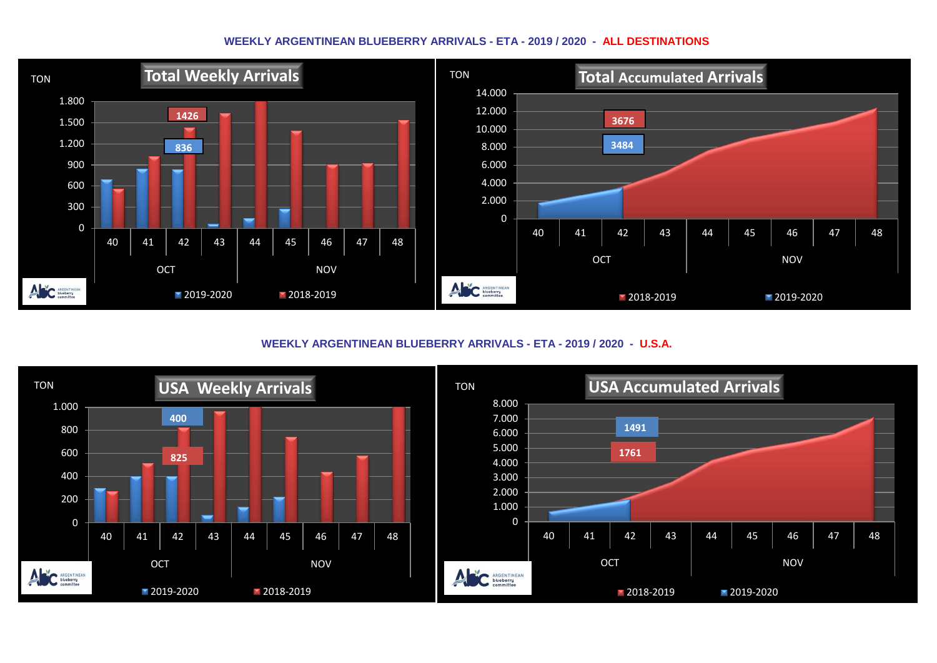## **WEEKLY ARGENTINEAN BLUEBERRY ARRIVALS - ETA - 2019 / 2020 - ALL DESTINATIONS**



**WEEKLY ARGENTINEAN BLUEBERRY ARRIVALS - ETA - 2019 / 2020 - U.S.A.**

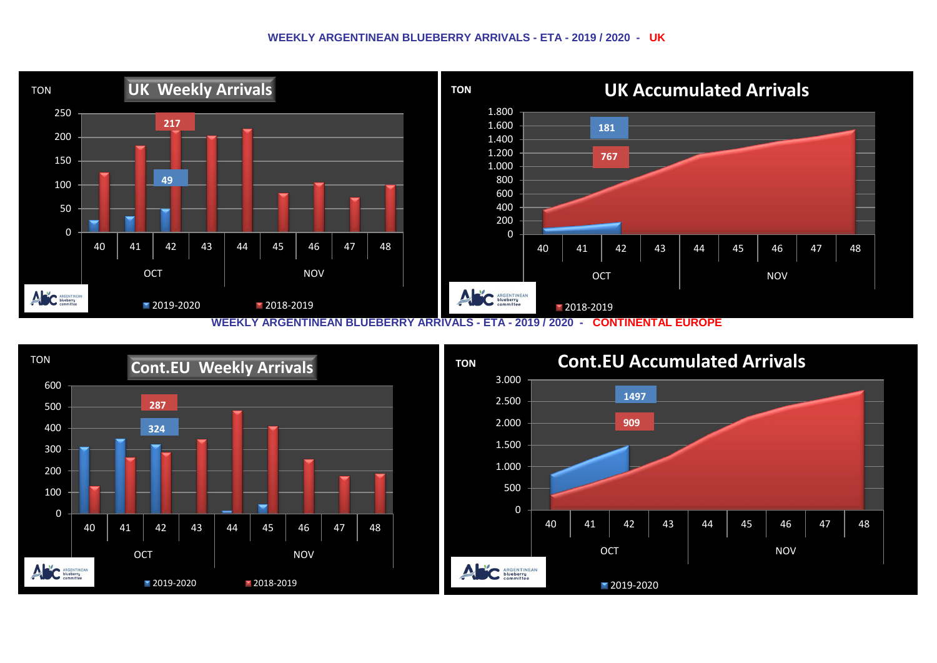## **WEEKLY ARGENTINEAN BLUEBERRY ARRIVALS - ETA - 2019 / 2020 - UK**



**WEEKLY ARGENTINEAN BLUEBERRY ARRIVALS - ETA - 2019 / 2020 - CONTINENTAL EUROPE**